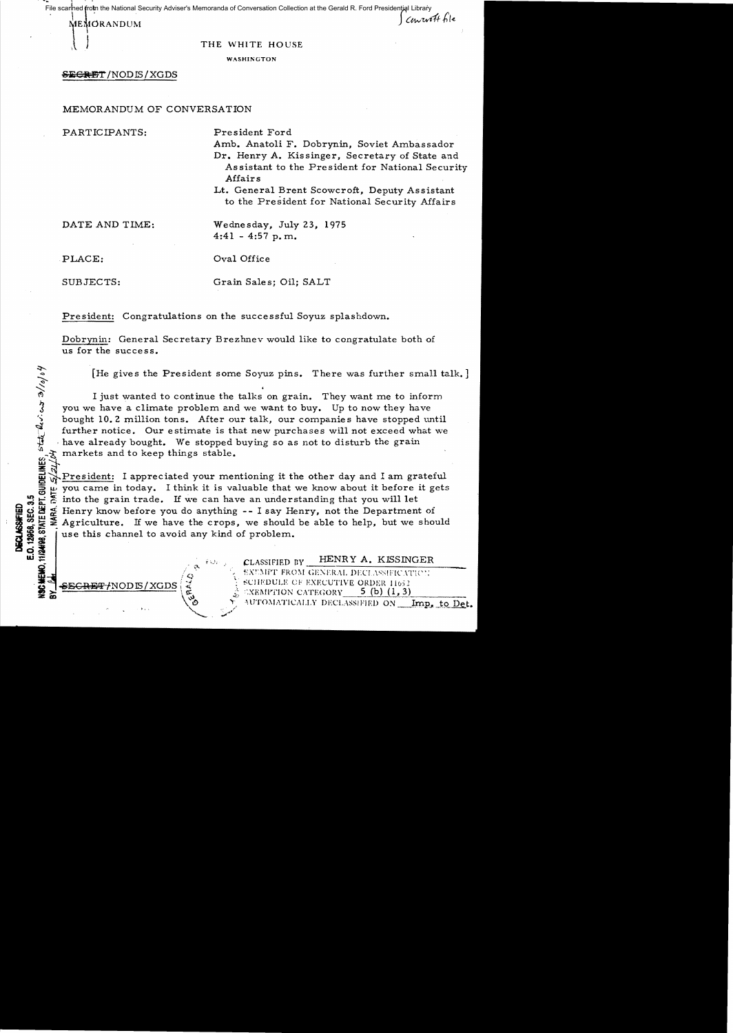File scanned from the National Security Adviser's Memoranda of Conversation Collection at the Gerald R. Ford Presidential Library

|<br>|<br>|HEMORANDUN<br>| **MEMORANDUM** 

. **.......** 

## THE WHITE HOUSE

WASHINGTON

## **SECM!!]'!** /NODIS/XGDS

MEMORANDUM OF CONVERSATION

PARTICIPANTS: President Ford

Amb. Anatoli F. Dobrynin, Soviet Ambassador Dr. Henry A. Kissinger, Secretary of State and Assistant to the President for National Security Affairs

Lt. General Brent Scowcroft, Deputy Assistant to the President for National Security Affairs

DATE AND TIME: Wednesday, July 23, 1975 4:41 - 4:57 p. m.

 $\frac{1}{2}/\rho$ 

PLACE:  $Oval$  Oval Office

SUBJECTS: Grain Sales; Oil; SALT

President: Congratulations on the successful Soyuz splashdown.

Dobrynin: General Secretary Brezhnev would like to congratulate both of us for the success.

[He gives the President some Soyuz pins. There was further small talk.]

\<) I just wanted to continue the talks on grain. They want me to inform you we have a climate problem and we want to buy. Up to now they have bought 10.2 million tons. After our talk, our companies have stopped until further notice. Our estimate is that new purchases will not exceed what we have already bought. We stopped buying so as not to disturb the grain markets and to keep things stable. ត $\vec{x}$   $\rightarrow$ 

President: I appreciated your mentioning it the other day and I am grateful you came in today. I think it is valuable that we know about it before it gets :.!i l.i:: ;S into the grain trade. If we can have an understanding that you will let  $\begin{array}{ll}\n\mathbf{a} & \mathbf{b} & \mathbf{c} \\
\mathbf{b} & \mathbf{c} & \mathbf{b} \\
\mathbf{c} & \mathbf{d} & \mathbf{c} \\
\mathbf{d} & \mathbf{d} & \mathbf{c} \\
\mathbf{d} & \mathbf{d} & \mathbf{c} \\
\mathbf{e} & \mathbf{d} & \mathbf{c} \\
\mathbf{e} & \mathbf{d} & \mathbf{c} \\
\mathbf{f} & \mathbf{c} & \mathbf{d} \\
\mathbf{f} & \mathbf{c} & \mathbf{c} \\
\mathbf{f} & \mathbf{c} & \mathbf{c} \\
\math$  $\frac{1}{20}$  when  $\frac{1}{20}$  and  $\frac{1}{20}$  are this channel to avoid any kind of problem.<br>  $\frac{1}{20}$  is  $\frac{1}{20}$  use this channel to avoid any kind of problem.

'--. ~-~

 $\begin{matrix} \epsilon \\ \epsilon \\ \epsilon \end{matrix}$  ;  $\begin{matrix} \epsilon \\ \epsilon \end{matrix}$  ; classified by \_\_HENRY A. KISSINGER<br>  $\begin{matrix} \epsilon \\ \epsilon \end{matrix}$  =  $\begin{matrix} \epsilon \\ \epsilon \end{matrix}$  =  $\begin{matrix} \epsilon \\ \epsilon \end{matrix}$  =  $\begin{matrix} \epsilon \\ \epsilon \end{matrix}$  =  $\begin{matrix} \epsilon \\ \epsilon \end{matrix}$  =  $\begin{matrix} \epsilon \\ \epsilon \end{matrix}$  =  $\begin{matrix} \epsilon \\ \epsilon \end{matrix}$  =  $\$ EXUMPT FROM GENERAL DECLASSIFICATION **SECRET/NODIS/XGDS**  $\begin{bmatrix} x \\ y \\ z \end{bmatrix}$  ...  $\begin{bmatrix} \text{SCHEDULE OF EXECUTIVE ORDER 11652} \\ \text{S. CEBMATION CATEGORY} \end{bmatrix}$  **5** (b) (1, 3)  $::$   $XEMPrION$   $CATEGORY$ WTOMATICALLY DECLASSIFIED ON \_\_\_Imp. to Det.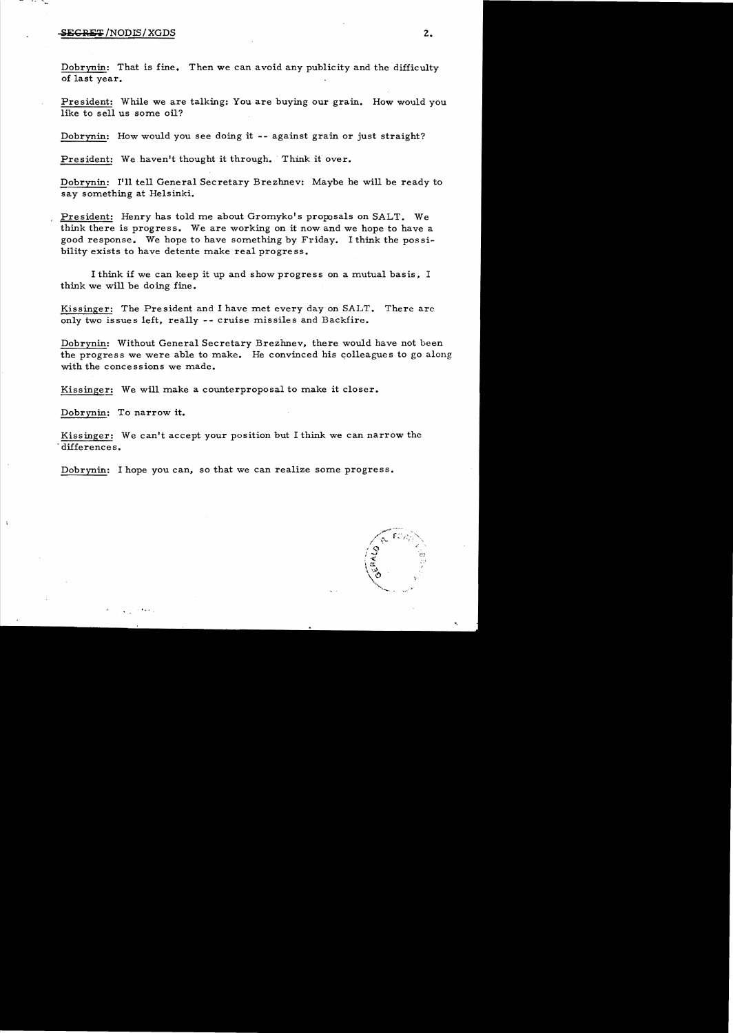## .iEClli:T/NODIS/XGDS 2.

- .... -

> Dobrynin: That is fine. Then we can avoid any publicity and the difficulty of last year.

President: While we are talking: You are buying our grain. How would you like to sell us some oil?

Dobrynin: How would you see doing it -- against grain or just straight?

President: We haven't thought it through. Think it over.

Dobrvnin: I'll tell General Secretary Brezhnev: Maybe he will be ready to say something at Helsinki.

President: Henry has told me about Gromyko's proposals on SALT. We think there is progress. We are working on it now and we hope to have a good response. We hope to have something by Friday. I think the possibility exists to have detente make real progress.

I think if we can keep it up and show progress on a mutual basis, I think we will be doing fine.

Kissinger: The President and I have met every day on SALT. There are only two issues left, really -- cruise missiles and Backfire.

Dobrynin: Without General Secretary Brezhnev, there would have not been the progress we were able to make. He convinced his colleagues to go along with the concessions we made.

Kissinger: We will make a counterproposal to make it closer.

Dobrynin: To narrow it.

 $\sim 100$ 

Kissinger: We can't accept your position but I think we can narrow the . differences.

Dobrynin: I hope you can, so that we can realize some progress.

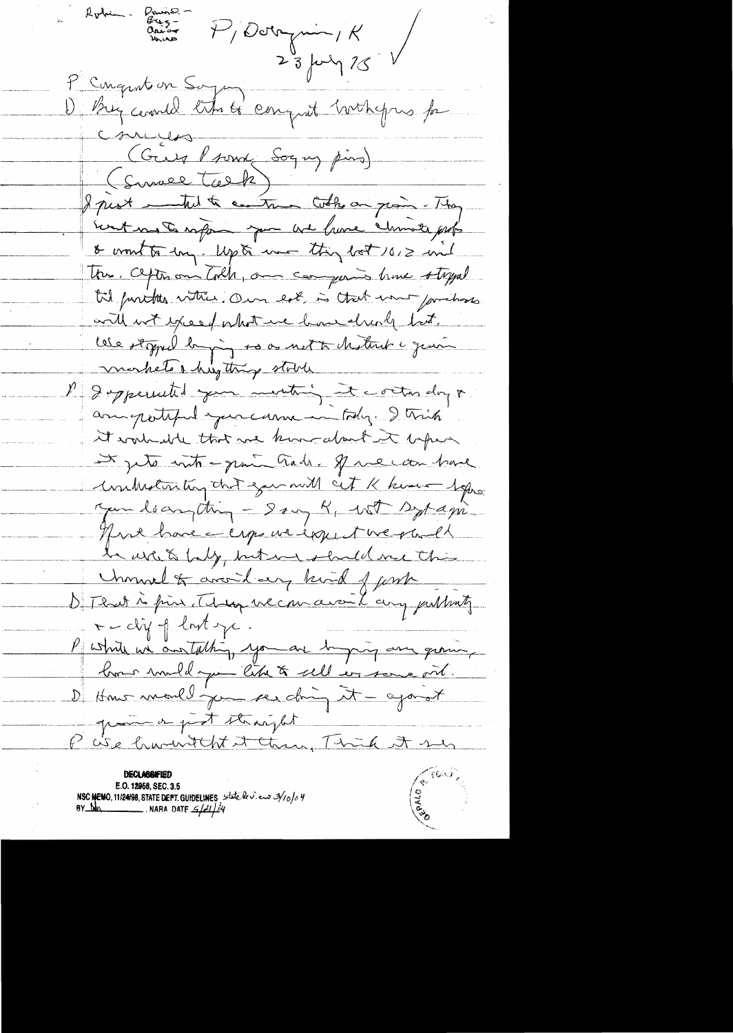Pris- P/Derrymin/K<br>Aussen P/Derrymin/K<br>23 july 15 P Cinquitoin Soya De Brig countel titre to conquit hothogres for comunes (Guy Prome Sogny pins) (Survel Talk) I just intent a control who an grain - They Event mos to safer you we have chimate profo & wont to long. Up to une they lot 1012 und These. Cepterson Colh, on comparis have styped til funites vitter. Om lot is that want for hoss. with with young what we have already but. lese otopped bying so as not to destrut a graving morkets a hightness stock Imperiated jum menting it controlling + accompatified your carne in tody. I trick it work able that we know about it before It jets intr-gene Gab. Space can have untreturing that you will cit K kimi - Sopro. Jun leanything - Sang K, With Sypapi. There have a crops we expect we gad to white baby, but we shall me this Unimal to avoid any kind of unk D'I Ruit à fin Mon vec mais L any publish  $\tau$ -clif of lost y. Puttite un austathing, you are bying any quincy bon muldage like to sell en some oil. D How mould jun see ding it - agorat gram on just stranght P ise hument of the Thick A su

E.O. 12958, SEC. 3.5 NSC MEMO, 11/24/98, STATE DEPT. GUIDELINES state levieux 3/10/04<br>BY the